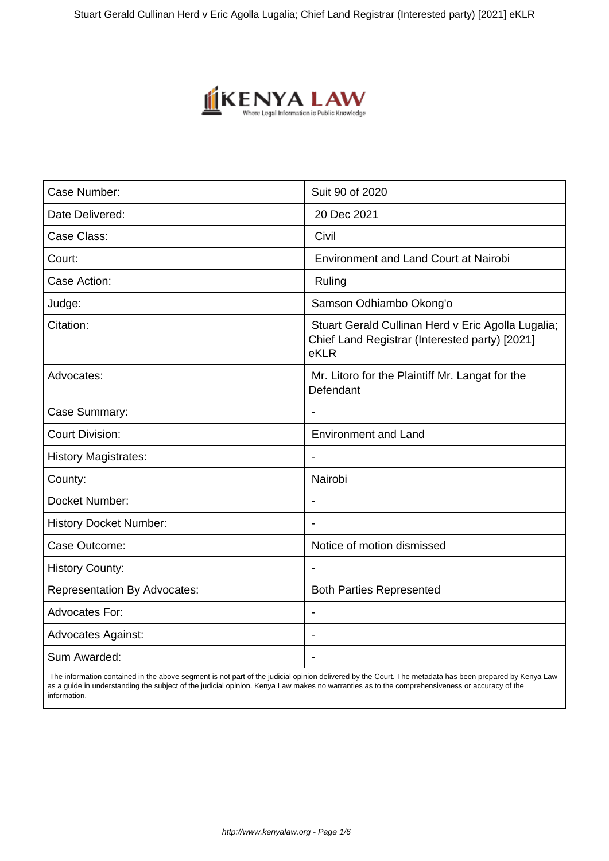

| Case Number:                        | Suit 90 of 2020                                                                                              |
|-------------------------------------|--------------------------------------------------------------------------------------------------------------|
| Date Delivered:                     | 20 Dec 2021                                                                                                  |
| Case Class:                         | Civil                                                                                                        |
| Court:                              | <b>Environment and Land Court at Nairobi</b>                                                                 |
| Case Action:                        | Ruling                                                                                                       |
| Judge:                              | Samson Odhiambo Okong'o                                                                                      |
| Citation:                           | Stuart Gerald Cullinan Herd v Eric Agolla Lugalia;<br>Chief Land Registrar (Interested party) [2021]<br>eKLR |
| Advocates:                          | Mr. Litoro for the Plaintiff Mr. Langat for the<br>Defendant                                                 |
| Case Summary:                       |                                                                                                              |
| <b>Court Division:</b>              | <b>Environment and Land</b>                                                                                  |
| <b>History Magistrates:</b>         | $\blacksquare$                                                                                               |
| County:                             | Nairobi                                                                                                      |
| Docket Number:                      |                                                                                                              |
| <b>History Docket Number:</b>       |                                                                                                              |
| Case Outcome:                       | Notice of motion dismissed                                                                                   |
| <b>History County:</b>              |                                                                                                              |
| <b>Representation By Advocates:</b> | <b>Both Parties Represented</b>                                                                              |
| <b>Advocates For:</b>               | $\blacksquare$                                                                                               |
| <b>Advocates Against:</b>           |                                                                                                              |
| Sum Awarded:                        |                                                                                                              |

 The information contained in the above segment is not part of the judicial opinion delivered by the Court. The metadata has been prepared by Kenya Law as a guide in understanding the subject of the judicial opinion. Kenya Law makes no warranties as to the comprehensiveness or accuracy of the information.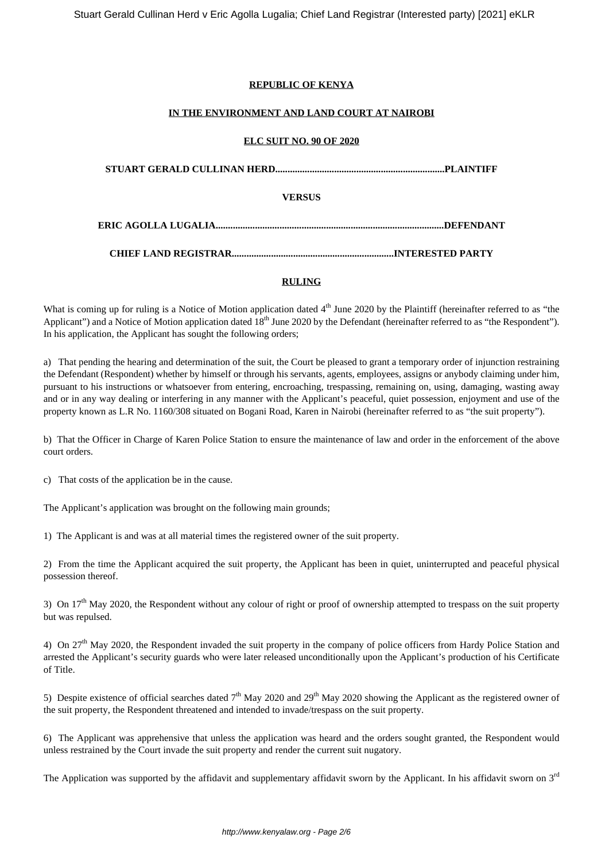#### **REPUBLIC OF KENYA**

#### **IN THE ENVIRONMENT AND LAND COURT AT NAIROBI**

#### **ELC SUIT NO. 90 OF 2020**

| VERSUS |  |  |
|--------|--|--|
|        |  |  |
|        |  |  |

#### **RULING**

What is coming up for ruling is a Notice of Motion application dated  $4<sup>th</sup>$  June 2020 by the Plaintiff (hereinafter referred to as "the Applicant") and a Notice of Motion application dated  $18<sup>th</sup>$  June 2020 by the Defendant (hereinafter referred to as "the Respondent"). In his application, the Applicant has sought the following orders;

a) That pending the hearing and determination of the suit, the Court be pleased to grant a temporary order of injunction restraining the Defendant (Respondent) whether by himself or through his servants, agents, employees, assigns or anybody claiming under him, pursuant to his instructions or whatsoever from entering, encroaching, trespassing, remaining on, using, damaging, wasting away and or in any way dealing or interfering in any manner with the Applicant's peaceful, quiet possession, enjoyment and use of the property known as L.R No. 1160/308 situated on Bogani Road, Karen in Nairobi (hereinafter referred to as "the suit property").

b) That the Officer in Charge of Karen Police Station to ensure the maintenance of law and order in the enforcement of the above court orders.

c) That costs of the application be in the cause.

The Applicant's application was brought on the following main grounds;

1) The Applicant is and was at all material times the registered owner of the suit property.

2) From the time the Applicant acquired the suit property, the Applicant has been in quiet, uninterrupted and peaceful physical possession thereof.

3) On  $17<sup>th</sup>$  May 2020, the Respondent without any colour of right or proof of ownership attempted to trespass on the suit property but was repulsed.

4) On  $27<sup>th</sup>$  May 2020, the Respondent invaded the suit property in the company of police officers from Hardy Police Station and arrested the Applicant's security guards who were later released unconditionally upon the Applicant's production of his Certificate of Title.

5) Despite existence of official searches dated  $7<sup>th</sup>$  May 2020 and 29<sup>th</sup> May 2020 showing the Applicant as the registered owner of the suit property, the Respondent threatened and intended to invade/trespass on the suit property.

6) The Applicant was apprehensive that unless the application was heard and the orders sought granted, the Respondent would unless restrained by the Court invade the suit property and render the current suit nugatory.

The Application was supported by the affidavit and supplementary affidavit sworn by the Applicant. In his affidavit sworn on 3<sup>rd</sup>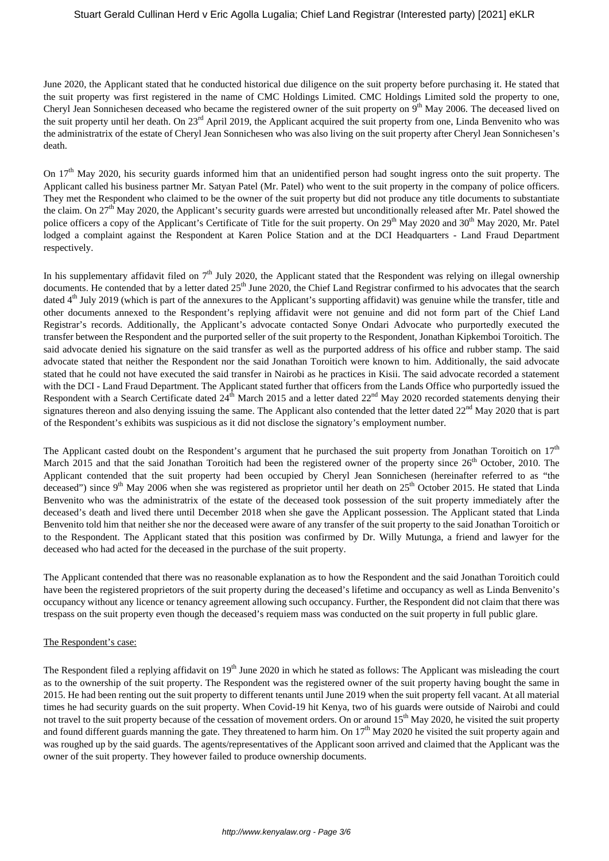June 2020, the Applicant stated that he conducted historical due diligence on the suit property before purchasing it. He stated that the suit property was first registered in the name of CMC Holdings Limited. CMC Holdings Limited sold the property to one, Cheryl Jean Sonnichesen deceased who became the registered owner of the suit property on 9<sup>th</sup> May 2006. The deceased lived on the suit property until her death. On 23<sup>rd</sup> April 2019, the Applicant acquired the suit property from one, Linda Benvenito who was the administratrix of the estate of Cheryl Jean Sonnichesen who was also living on the suit property after Cheryl Jean Sonnichesen's death.

On  $17<sup>th</sup>$  May 2020, his security guards informed him that an unidentified person had sought ingress onto the suit property. The Applicant called his business partner Mr. Satyan Patel (Mr. Patel) who went to the suit property in the company of police officers. They met the Respondent who claimed to be the owner of the suit property but did not produce any title documents to substantiate the claim. On  $27<sup>th</sup>$  May 2020, the Applicant's security guards were arrested but unconditionally released after Mr. Patel showed the police officers a copy of the Applicant's Certificate of Title for the suit property. On 29<sup>th</sup> May 2020 and 30<sup>th</sup> May 2020, Mr. Patel lodged a complaint against the Respondent at Karen Police Station and at the DCI Headquarters - Land Fraud Department respectively.

In his supplementary affidavit filed on  $7<sup>th</sup>$  July 2020, the Applicant stated that the Respondent was relying on illegal ownership documents. He contended that by a letter dated  $25<sup>th</sup>$  June 2020, the Chief Land Registrar confirmed to his advocates that the search dated 4<sup>th</sup> July 2019 (which is part of the annexures to the Applicant's supporting affidavit) was genuine while the transfer, title and other documents annexed to the Respondent's replying affidavit were not genuine and did not form part of the Chief Land Registrar's records. Additionally, the Applicant's advocate contacted Sonye Ondari Advocate who purportedly executed the transfer between the Respondent and the purported seller of the suit property to the Respondent, Jonathan Kipkemboi Toroitich. The said advocate denied his signature on the said transfer as well as the purported address of his office and rubber stamp. The said advocate stated that neither the Respondent nor the said Jonathan Toroitich were known to him. Additionally, the said advocate stated that he could not have executed the said transfer in Nairobi as he practices in Kisii. The said advocate recorded a statement with the DCI - Land Fraud Department. The Applicant stated further that officers from the Lands Office who purportedly issued the Respondent with a Search Certificate dated  $24<sup>th</sup>$  March 2015 and a letter dated  $22<sup>nd</sup>$  May 2020 recorded statements denying their signatures thereon and also denying issuing the same. The Applicant also contended that the letter dated  $22<sup>nd</sup>$  May 2020 that is part of the Respondent's exhibits was suspicious as it did not disclose the signatory's employment number.

The Applicant casted doubt on the Respondent's argument that he purchased the suit property from Jonathan Toroitich on  $17<sup>th</sup>$ March 2015 and that the said Jonathan Toroitich had been the registered owner of the property since  $26<sup>th</sup>$  October, 2010. The Applicant contended that the suit property had been occupied by Cheryl Jean Sonnichesen (hereinafter referred to as "the deceased") since 9<sup>th</sup> May 2006 when she was registered as proprietor until her death on  $25<sup>th</sup>$  October 2015. He stated that Linda Benvenito who was the administratrix of the estate of the deceased took possession of the suit property immediately after the deceased's death and lived there until December 2018 when she gave the Applicant possession. The Applicant stated that Linda Benvenito told him that neither she nor the deceased were aware of any transfer of the suit property to the said Jonathan Toroitich or to the Respondent. The Applicant stated that this position was confirmed by Dr. Willy Mutunga, a friend and lawyer for the deceased who had acted for the deceased in the purchase of the suit property.

The Applicant contended that there was no reasonable explanation as to how the Respondent and the said Jonathan Toroitich could have been the registered proprietors of the suit property during the deceased's lifetime and occupancy as well as Linda Benvenito's occupancy without any licence or tenancy agreement allowing such occupancy. Further, the Respondent did not claim that there was trespass on the suit property even though the deceased's requiem mass was conducted on the suit property in full public glare.

#### The Respondent's case:

The Respondent filed a replying affidavit on 19<sup>th</sup> June 2020 in which he stated as follows: The Applicant was misleading the court as to the ownership of the suit property. The Respondent was the registered owner of the suit property having bought the same in 2015. He had been renting out the suit property to different tenants until June 2019 when the suit property fell vacant. At all material times he had security guards on the suit property. When Covid-19 hit Kenya, two of his guards were outside of Nairobi and could not travel to the suit property because of the cessation of movement orders. On or around 15<sup>th</sup> May 2020, he visited the suit property and found different guards manning the gate. They threatened to harm him. On 17<sup>th</sup> May 2020 he visited the suit property again and was roughed up by the said guards. The agents/representatives of the Applicant soon arrived and claimed that the Applicant was the owner of the suit property. They however failed to produce ownership documents.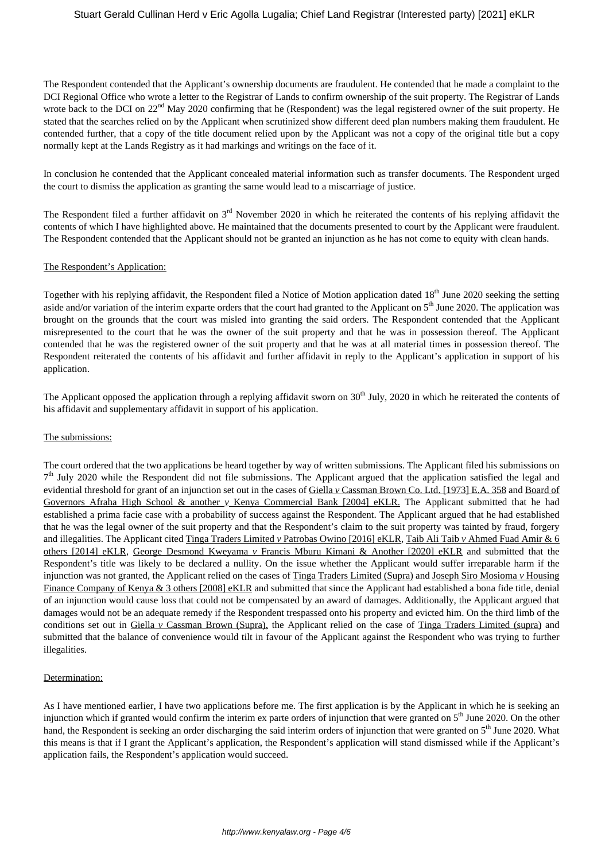The Respondent contended that the Applicant's ownership documents are fraudulent. He contended that he made a complaint to the DCI Regional Office who wrote a letter to the Registrar of Lands to confirm ownership of the suit property. The Registrar of Lands wrote back to the DCI on 22<sup>nd</sup> May 2020 confirming that he (Respondent) was the legal registered owner of the suit property. He stated that the searches relied on by the Applicant when scrutinized show different deed plan numbers making them fraudulent. He contended further, that a copy of the title document relied upon by the Applicant was not a copy of the original title but a copy normally kept at the Lands Registry as it had markings and writings on the face of it.

In conclusion he contended that the Applicant concealed material information such as transfer documents. The Respondent urged the court to dismiss the application as granting the same would lead to a miscarriage of justice.

The Respondent filed a further affidavit on  $3<sup>rd</sup>$  November 2020 in which he reiterated the contents of his replying affidavit the contents of which I have highlighted above. He maintained that the documents presented to court by the Applicant were fraudulent. The Respondent contended that the Applicant should not be granted an injunction as he has not come to equity with clean hands.

#### The Respondent's Application:

Together with his replying affidavit, the Respondent filed a Notice of Motion application dated 18<sup>th</sup> June 2020 seeking the setting aside and/or variation of the interim exparte orders that the court had granted to the Applicant on 5<sup>th</sup> June 2020. The application was brought on the grounds that the court was misled into granting the said orders. The Respondent contended that the Applicant misrepresented to the court that he was the owner of the suit property and that he was in possession thereof. The Applicant contended that he was the registered owner of the suit property and that he was at all material times in possession thereof. The Respondent reiterated the contents of his affidavit and further affidavit in reply to the Applicant's application in support of his application.

The Applicant opposed the application through a replying affidavit sworn on  $30<sup>th</sup>$  July, 2020 in which he reiterated the contents of his affidavit and supplementary affidavit in support of his application.

#### The submissions:

The court ordered that the two applications be heard together by way of written submissions. The Applicant filed his submissions on 7<sup>th</sup> July 2020 while the Respondent did not file submissions. The Applicant argued that the application satisfied the legal and evidential threshold for grant of an injunction set out in the cases of Giella *y* Cassman Brown Co. Ltd. [1973] E.A. 358 and Board of Governors Afraha High School & another *v* Kenya Commercial Bank [2004] eKLR. The Applicant submitted that he had established a prima facie case with a probability of success against the Respondent. The Applicant argued that he had established that he was the legal owner of the suit property and that the Respondent's claim to the suit property was tainted by fraud, forgery and illegalities. The Applicant cited Tinga Traders Limited *v* Patrobas Owino [2016] eKLR, Taib Ali Taib *v* Ahmed Fuad Amir & 6 others [2014] eKLR, George Desmond Kweyama *v* Francis Mburu Kimani & Another [2020] eKLR and submitted that the Respondent's title was likely to be declared a nullity. On the issue whether the Applicant would suffer irreparable harm if the injunction was not granted, the Applicant relied on the cases of Tinga Traders Limited (Supra) and Joseph Siro Mosioma *v* Housing Finance Company of Kenya & 3 others [2008] eKLR and submitted that since the Applicant had established a bona fide title, denial of an injunction would cause loss that could not be compensated by an award of damages. Additionally, the Applicant argued that damages would not be an adequate remedy if the Respondent trespassed onto his property and evicted him. On the third limb of the conditions set out in Giella *v* Cassman Brown (Supra), the Applicant relied on the case of Tinga Traders Limited (supra) and submitted that the balance of convenience would tilt in favour of the Applicant against the Respondent who was trying to further illegalities.

#### Determination:

As I have mentioned earlier, I have two applications before me. The first application is by the Applicant in which he is seeking an injunction which if granted would confirm the interim ex parte orders of injunction that were granted on 5<sup>th</sup> June 2020. On the other hand, the Respondent is seeking an order discharging the said interim orders of injunction that were granted on  $5<sup>th</sup>$  June 2020. What this means is that if I grant the Applicant's application, the Respondent's application will stand dismissed while if the Applicant's application fails, the Respondent's application would succeed.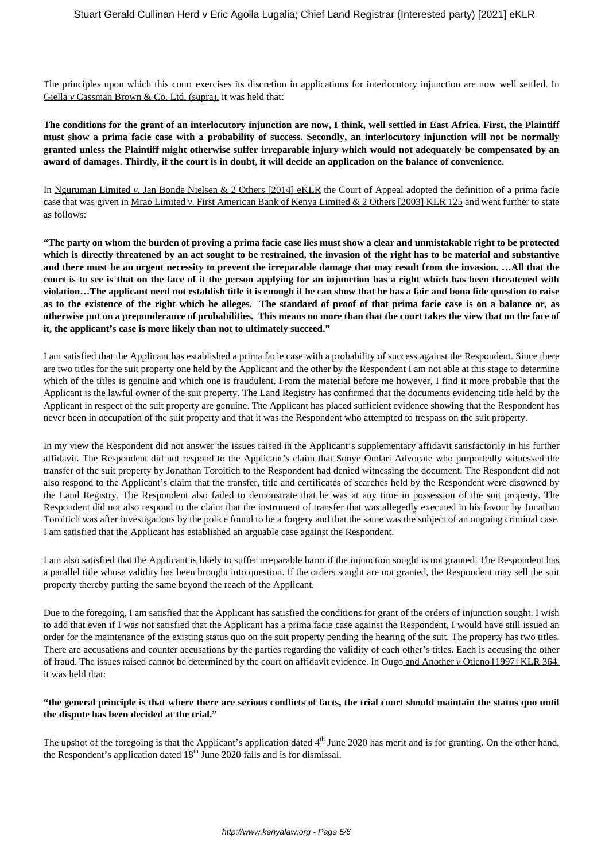The principles upon which this court exercises its discretion in applications for interlocutory injunction are now well settled. In Giella *v* Cassman Brown & Co. Ltd. (supra), it was held that:

**The conditions for the grant of an interlocutory injunction are now, I think, well settled in East Africa. First, the Plaintiff must show a prima facie case with a probability of success. Secondly, an interlocutory injunction will not be normally granted unless the Plaintiff might otherwise suffer irreparable injury which would not adequately be compensated by an award of damages. Thirdly, if the court is in doubt, it will decide an application on the balance of convenience.** 

In Nguruman Limited *v*. Jan Bonde Nielsen & 2 Others [2014] eKLR the Court of Appeal adopted the definition of a prima facie case that was given in Mrao Limited *v*. First American Bank of Kenya Limited & 2 Others [2003] KLR 125 and went further to state as follows:

**"The party on whom the burden of proving a prima facie case lies must show a clear and unmistakable right to be protected which is directly threatened by an act sought to be restrained, the invasion of the right has to be material and substantive and there must be an urgent necessity to prevent the irreparable damage that may result from the invasion. …All that the court is to see is that on the face of it the person applying for an injunction has a right which has been threatened with violation…The applicant need not establish title it is enough if he can show that he has a fair and bona fide question to raise as to the existence of the right which he alleges. The standard of proof of that prima facie case is on a balance or, as otherwise put on a preponderance of probabilities. This means no more than that the court takes the view that on the face of it, the applicant's case is more likely than not to ultimately succeed."** 

I am satisfied that the Applicant has established a prima facie case with a probability of success against the Respondent. Since there are two titles for the suit property one held by the Applicant and the other by the Respondent I am not able at this stage to determine which of the titles is genuine and which one is fraudulent. From the material before me however, I find it more probable that the Applicant is the lawful owner of the suit property. The Land Registry has confirmed that the documents evidencing title held by the Applicant in respect of the suit property are genuine. The Applicant has placed sufficient evidence showing that the Respondent has never been in occupation of the suit property and that it was the Respondent who attempted to trespass on the suit property.

In my view the Respondent did not answer the issues raised in the Applicant's supplementary affidavit satisfactorily in his further affidavit. The Respondent did not respond to the Applicant's claim that Sonye Ondari Advocate who purportedly witnessed the transfer of the suit property by Jonathan Toroitich to the Respondent had denied witnessing the document. The Respondent did not also respond to the Applicant's claim that the transfer, title and certificates of searches held by the Respondent were disowned by the Land Registry. The Respondent also failed to demonstrate that he was at any time in possession of the suit property. The Respondent did not also respond to the claim that the instrument of transfer that was allegedly executed in his favour by Jonathan Toroitich was after investigations by the police found to be a forgery and that the same was the subject of an ongoing criminal case. I am satisfied that the Applicant has established an arguable case against the Respondent.

I am also satisfied that the Applicant is likely to suffer irreparable harm if the injunction sought is not granted. The Respondent has a parallel title whose validity has been brought into question. If the orders sought are not granted, the Respondent may sell the suit property thereby putting the same beyond the reach of the Applicant.

Due to the foregoing, I am satisfied that the Applicant has satisfied the conditions for grant of the orders of injunction sought. I wish to add that even if I was not satisfied that the Applicant has a prima facie case against the Respondent, I would have still issued an order for the maintenance of the existing status quo on the suit property pending the hearing of the suit. The property has two titles. There are accusations and counter accusations by the parties regarding the validity of each other's titles. Each is accusing the other of fraud. The issues raised cannot be determined by the court on affidavit evidence. In Ougo and Another *v* Otieno [1997] KLR 364, it was held that:

#### **"the general principle is that where there are serious conflicts of facts, the trial court should maintain the status quo until the dispute has been decided at the trial."**

The upshot of the foregoing is that the Applicant's application dated  $4<sup>th</sup>$  June 2020 has merit and is for granting. On the other hand, the Respondent's application dated  $18<sup>th</sup>$  June 2020 fails and is for dismissal.